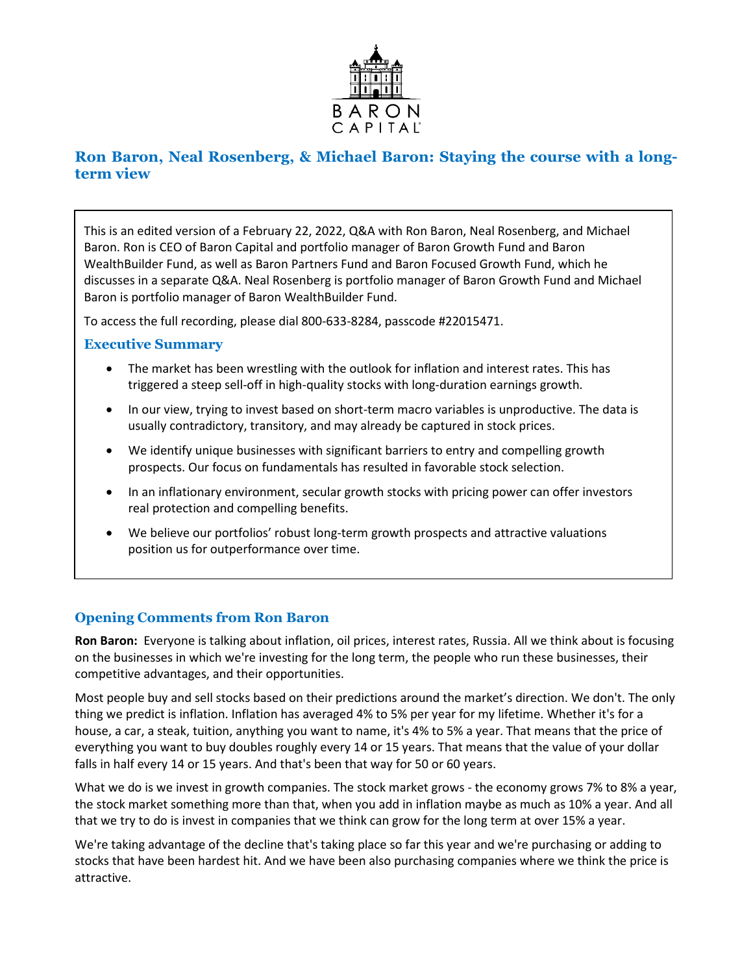

# **Ron Baron, Neal Rosenberg, & Michael Baron: Staying the course with a longterm view**

This is an edited version of a February 22, 2022, Q&A with Ron Baron, Neal Rosenberg, and Michael Baron. Ron is CEO of Baron Capital and portfolio manager of Baron Growth Fund and Baron WealthBuilder Fund, as well as Baron Partners Fund and Baron Focused Growth Fund, which he discusses in a separate Q&A. Neal Rosenberg is portfolio manager of Baron Growth Fund and Michael Baron is portfolio manager of Baron WealthBuilder Fund.

To access the full recording, please dial 800-633-8284, passcode #22015471.

# **Executive Summary**

- The market has been wrestling with the outlook for inflation and interest rates. This has triggered a steep sell-off in high-quality stocks with long-duration earnings growth.
- In our view, trying to invest based on short-term macro variables is unproductive. The data is usually contradictory, transitory, and may already be captured in stock prices.
- We identify unique businesses with significant barriers to entry and compelling growth prospects. Our focus on fundamentals has resulted in favorable stock selection.
- In an inflationary environment, secular growth stocks with pricing power can offer investors real protection and compelling benefits.
- We believe our portfolios' robust long-term growth prospects and attractive valuations position us for outperformance over time.

# **Opening Comments from Ron Baron**

**Ron Baron:** Everyone is talking about inflation, oil prices, interest rates, Russia. All we think about is focusing on the businesses in which we're investing for the long term, the people who run these businesses, their competitive advantages, and their opportunities.

Most people buy and sell stocks based on their predictions around the market's direction. We don't. The only thing we predict is inflation. Inflation has averaged 4% to 5% per year for my lifetime. Whether it's for a house, a car, a steak, tuition, anything you want to name, it's 4% to 5% a year. That means that the price of everything you want to buy doubles roughly every 14 or 15 years. That means that the value of your dollar falls in half every 14 or 15 years. And that's been that way for 50 or 60 years.

What we do is we invest in growth companies. The stock market grows - the economy grows 7% to 8% a year, the stock market something more than that, when you add in inflation maybe as much as 10% a year. And all that we try to do is invest in companies that we think can grow for the long term at over 15% a year.

We're taking advantage of the decline that's taking place so far this year and we're purchasing or adding to stocks that have been hardest hit. And we have been also purchasing companies where we think the price is attractive.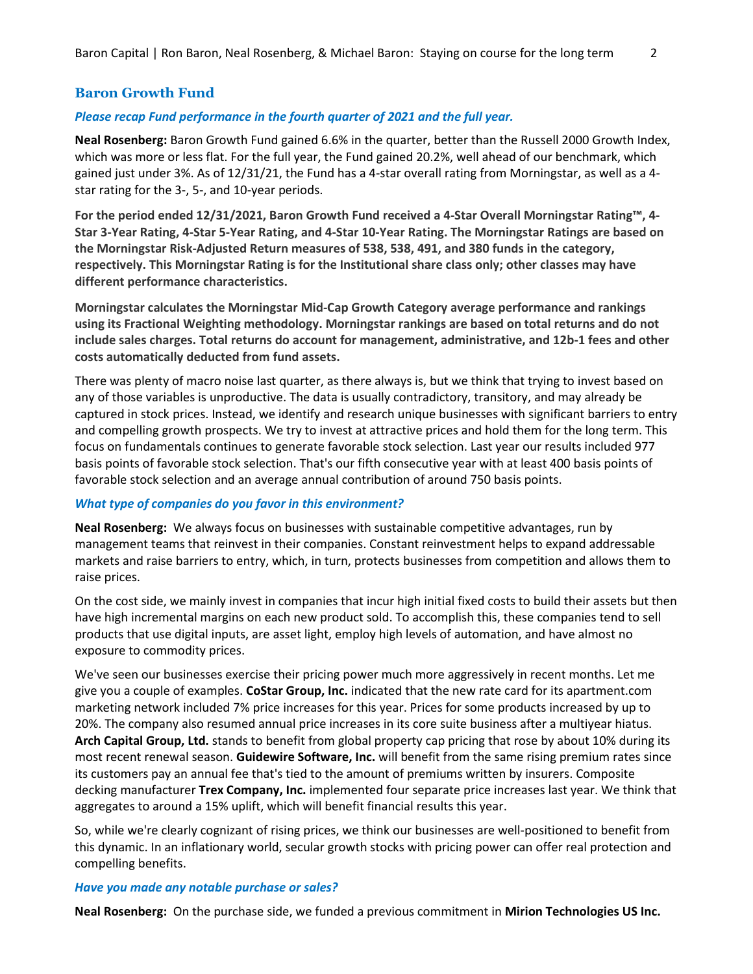## **Baron Growth Fund**

### *Please recap Fund performance in the fourth quarter of 2021 and the full year.*

**Neal Rosenberg:** Baron Growth Fund gained 6.6% in the quarter, better than the Russell 2000 Growth Index, which was more or less flat. For the full year, the Fund gained 20.2%, well ahead of our benchmark, which gained just under 3%. As of 12/31/21, the Fund has a 4-star overall rating from Morningstar, as well as a 4 star rating for the 3-, 5-, and 10-year periods.

**For the period ended 12/31/2021, Baron Growth Fund received a 4-Star Overall Morningstar Rating™, 4- Star 3-Year Rating, 4-Star 5-Year Rating, and 4-Star 10-Year Rating. The Morningstar Ratings are based on the Morningstar Risk-Adjusted Return measures of 538, 538, 491, and 380 funds in the category, respectively. This Morningstar Rating is for the Institutional share class only; other classes may have different performance characteristics.**

**Morningstar calculates the Morningstar Mid-Cap Growth Category average performance and rankings using its Fractional Weighting methodology. Morningstar rankings are based on total returns and do not include sales charges. Total returns do account for management, administrative, and 12b-1 fees and other costs automatically deducted from fund assets.**

There was plenty of macro noise last quarter, as there always is, but we think that trying to invest based on any of those variables is unproductive. The data is usually contradictory, transitory, and may already be captured in stock prices. Instead, we identify and research unique businesses with significant barriers to entry and compelling growth prospects. We try to invest at attractive prices and hold them for the long term. This focus on fundamentals continues to generate favorable stock selection. Last year our results included 977 basis points of favorable stock selection. That's our fifth consecutive year with at least 400 basis points of favorable stock selection and an average annual contribution of around 750 basis points.

### *What type of companies do you favor in this environment?*

**Neal Rosenberg:** We always focus on businesses with sustainable competitive advantages, run by management teams that reinvest in their companies. Constant reinvestment helps to expand addressable markets and raise barriers to entry, which, in turn, protects businesses from competition and allows them to raise prices.

On the cost side, we mainly invest in companies that incur high initial fixed costs to build their assets but then have high incremental margins on each new product sold. To accomplish this, these companies tend to sell products that use digital inputs, are asset light, employ high levels of automation, and have almost no exposure to commodity prices.

We've seen our businesses exercise their pricing power much more aggressively in recent months. Let me give you a couple of examples. **CoStar Group, Inc.** indicated that the new rate card for its apartment.com marketing network included 7% price increases for this year. Prices for some products increased by up to 20%. The company also resumed annual price increases in its core suite business after a multiyear hiatus. **Arch Capital Group, Ltd.** stands to benefit from global property cap pricing that rose by about 10% during its most recent renewal season. **Guidewire Software, Inc.** will benefit from the same rising premium rates since its customers pay an annual fee that's tied to the amount of premiums written by insurers. Composite decking manufacturer **Trex Company, Inc.** implemented four separate price increases last year. We think that aggregates to around a 15% uplift, which will benefit financial results this year.

So, while we're clearly cognizant of rising prices, we think our businesses are well-positioned to benefit from this dynamic. In an inflationary world, secular growth stocks with pricing power can offer real protection and compelling benefits.

#### *Have you made any notable purchase or sales?*

**Neal Rosenberg:** On the purchase side, we funded a previous commitment in **Mirion Technologies US Inc.**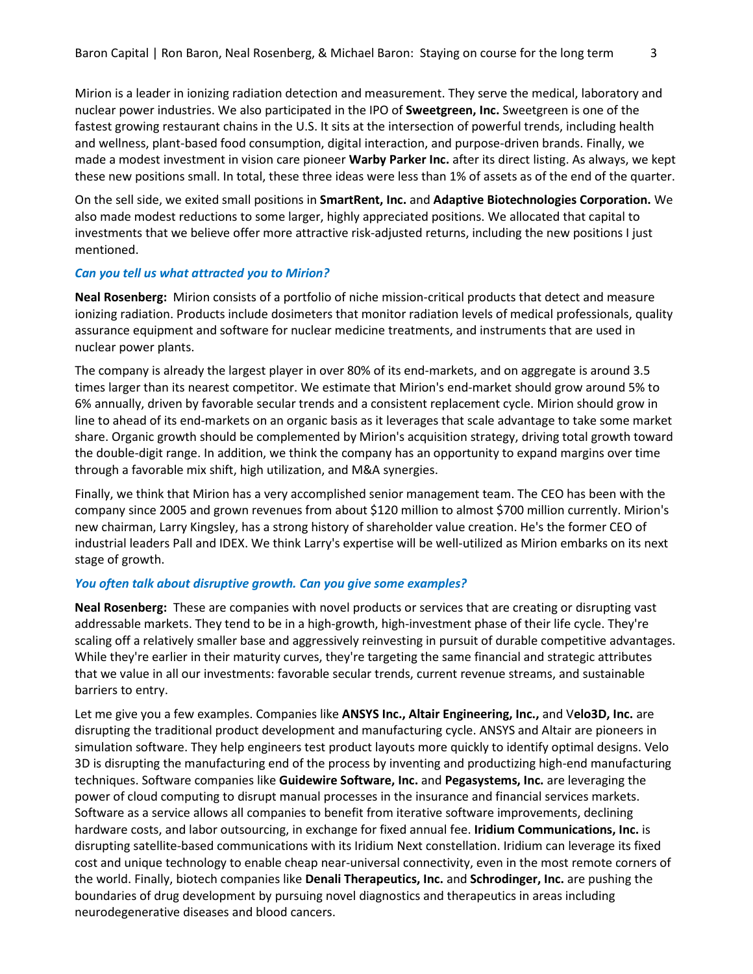Mirion is a leader in ionizing radiation detection and measurement. They serve the medical, laboratory and nuclear power industries. We also participated in the IPO of **Sweetgreen, Inc.** Sweetgreen is one of the fastest growing restaurant chains in the U.S. It sits at the intersection of powerful trends, including health and wellness, plant-based food consumption, digital interaction, and purpose-driven brands. Finally, we made a modest investment in vision care pioneer **Warby Parker Inc.** after its direct listing. As always, we kept these new positions small. In total, these three ideas were less than 1% of assets as of the end of the quarter.

On the sell side, we exited small positions in **SmartRent, Inc.** and **Adaptive Biotechnologies Corporation.** We also made modest reductions to some larger, highly appreciated positions. We allocated that capital to investments that we believe offer more attractive risk-adjusted returns, including the new positions I just mentioned.

# *Can you tell us what attracted you to Mirion?*

**Neal Rosenberg:** Mirion consists of a portfolio of niche mission-critical products that detect and measure ionizing radiation. Products include dosimeters that monitor radiation levels of medical professionals, quality assurance equipment and software for nuclear medicine treatments, and instruments that are used in nuclear power plants.

The company is already the largest player in over 80% of its end-markets, and on aggregate is around 3.5 times larger than its nearest competitor. We estimate that Mirion's end-market should grow around 5% to 6% annually, driven by favorable secular trends and a consistent replacement cycle. Mirion should grow in line to ahead of its end-markets on an organic basis as it leverages that scale advantage to take some market share. Organic growth should be complemented by Mirion's acquisition strategy, driving total growth toward the double-digit range. In addition, we think the company has an opportunity to expand margins over time through a favorable mix shift, high utilization, and M&A synergies.

Finally, we think that Mirion has a very accomplished senior management team. The CEO has been with the company since 2005 and grown revenues from about \$120 million to almost \$700 million currently. Mirion's new chairman, Larry Kingsley, has a strong history of shareholder value creation. He's the former CEO of industrial leaders Pall and IDEX. We think Larry's expertise will be well-utilized as Mirion embarks on its next stage of growth.

#### *You often talk about disruptive growth. Can you give some examples?*

**Neal Rosenberg:** These are companies with novel products or services that are creating or disrupting vast addressable markets. They tend to be in a high-growth, high-investment phase of their life cycle. They're scaling off a relatively smaller base and aggressively reinvesting in pursuit of durable competitive advantages. While they're earlier in their maturity curves, they're targeting the same financial and strategic attributes that we value in all our investments: favorable secular trends, current revenue streams, and sustainable barriers to entry.

Let me give you a few examples. Companies like **ANSYS Inc., Altair Engineering, Inc.,** and V**elo3D, Inc.** are disrupting the traditional product development and manufacturing cycle. ANSYS and Altair are pioneers in simulation software. They help engineers test product layouts more quickly to identify optimal designs. Velo 3D is disrupting the manufacturing end of the process by inventing and productizing high-end manufacturing techniques. Software companies like **Guidewire Software, Inc.** and **Pegasystems, Inc.** are leveraging the power of cloud computing to disrupt manual processes in the insurance and financial services markets. Software as a service allows all companies to benefit from iterative software improvements, declining hardware costs, and labor outsourcing, in exchange for fixed annual fee. **Iridium Communications, Inc.** is disrupting satellite-based communications with its Iridium Next constellation. Iridium can leverage its fixed cost and unique technology to enable cheap near-universal connectivity, even in the most remote corners of the world. Finally, biotech companies like **Denali Therapeutics, Inc.** and **Schrodinger, Inc.** are pushing the boundaries of drug development by pursuing novel diagnostics and therapeutics in areas including neurodegenerative diseases and blood cancers.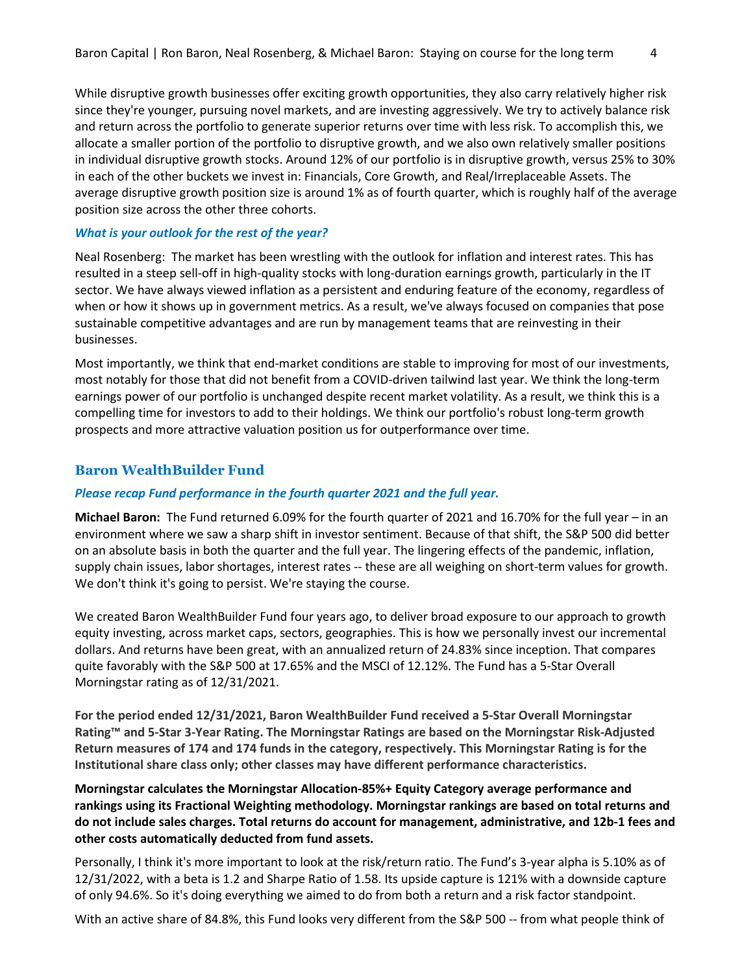While disruptive growth businesses offer exciting growth opportunities, they also carry relatively higher risk since they're younger, pursuing novel markets, and are investing aggressively. We try to actively balance risk and return across the portfolio to generate superior returns over time with less risk. To accomplish this, we allocate a smaller portion of the portfolio to disruptive growth, and we also own relatively smaller positions in individual disruptive growth stocks. Around 12% of our portfolio is in disruptive growth, versus 25% to 30% in each of the other buckets we invest in: Financials, Core Growth, and Real/Irreplaceable Assets. The average disruptive growth position size is around 1% as of fourth quarter, which is roughly half of the average position size across the other three cohorts.

# *What is your outlook for the rest of the year?*

Neal Rosenberg: The market has been wrestling with the outlook for inflation and interest rates. This has resulted in a steep sell-off in high-quality stocks with long-duration earnings growth, particularly in the IT sector. We have always viewed inflation as a persistent and enduring feature of the economy, regardless of when or how it shows up in government metrics. As a result, we've always focused on companies that pose sustainable competitive advantages and are run by management teams that are reinvesting in their businesses.

Most importantly, we think that end-market conditions are stable to improving for most of our investments, most notably for those that did not benefit from a COVID-driven tailwind last year. We think the long-term earnings power of our portfolio is unchanged despite recent market volatility. As a result, we think this is a compelling time for investors to add to their holdings. We think our portfolio's robust long-term growth prospects and more attractive valuation position us for outperformance over time.

# **Baron WealthBuilder Fund**

## *Please recap Fund performance in the fourth quarter 2021 and the full year.*

**Michael Baron:** The Fund returned 6.09% for the fourth quarter of 2021 and 16.70% for the full year – in an environment where we saw a sharp shift in investor sentiment. Because of that shift, the S&P 500 did better on an absolute basis in both the quarter and the full year. The lingering effects of the pandemic, inflation, supply chain issues, labor shortages, interest rates -- these are all weighing on short-term values for growth. We don't think it's going to persist. We're staying the course.

We created Baron WealthBuilder Fund four years ago, to deliver broad exposure to our approach to growth equity investing, across market caps, sectors, geographies. This is how we personally invest our incremental dollars. And returns have been great, with an annualized return of 24.83% since inception. That compares quite favorably with the S&P 500 at 17.65% and the MSCI of 12.12%. The Fund has a 5-Star Overall Morningstar rating as of 12/31/2021.

**For the period ended 12/31/2021, Baron WealthBuilder Fund received a 5-Star Overall Morningstar Rating™ and 5-Star 3-Year Rating. The Morningstar Ratings are based on the Morningstar Risk-Adjusted Return measures of 174 and 174 funds in the category, respectively. This Morningstar Rating is for the Institutional share class only; other classes may have different performance characteristics.**

**Morningstar calculates the Morningstar Allocation-85%+ Equity Category average performance and rankings using its Fractional Weighting methodology. Morningstar rankings are based on total returns and do not include sales charges. Total returns do account for management, administrative, and 12b-1 fees and other costs automatically deducted from fund assets.**

Personally, I think it's more important to look at the risk/return ratio. The Fund's 3-year alpha is 5.10% as of 12/31/2022, with a beta is 1.2 and Sharpe Ratio of 1.58. Its upside capture is 121% with a downside capture of only 94.6%. So it's doing everything we aimed to do from both a return and a risk factor standpoint.

With an active share of 84.8%, this Fund looks very different from the S&P 500 -- from what people think of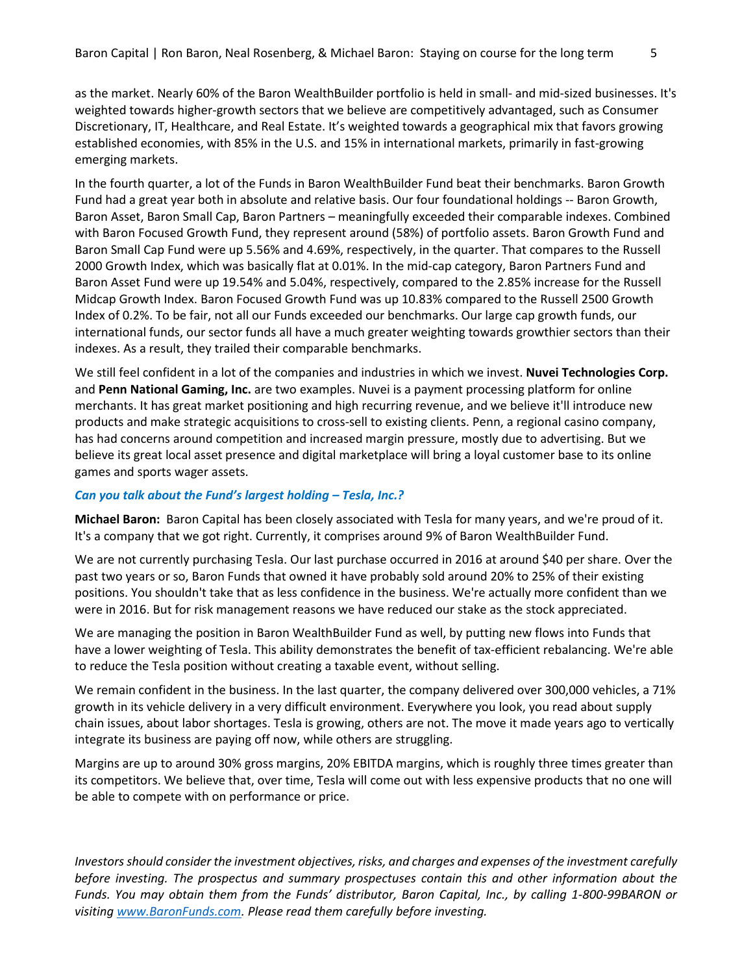as the market. Nearly 60% of the Baron WealthBuilder portfolio is held in small- and mid-sized businesses. It's weighted towards higher-growth sectors that we believe are competitively advantaged, such as Consumer Discretionary, IT, Healthcare, and Real Estate. It's weighted towards a geographical mix that favors growing established economies, with 85% in the U.S. and 15% in international markets, primarily in fast-growing emerging markets.

In the fourth quarter, a lot of the Funds in Baron WealthBuilder Fund beat their benchmarks. Baron Growth Fund had a great year both in absolute and relative basis. Our four foundational holdings -- Baron Growth, Baron Asset, Baron Small Cap, Baron Partners – meaningfully exceeded their comparable indexes. Combined with Baron Focused Growth Fund, they represent around (58%) of portfolio assets. Baron Growth Fund and Baron Small Cap Fund were up 5.56% and 4.69%, respectively, in the quarter. That compares to the Russell 2000 Growth Index, which was basically flat at 0.01%. In the mid-cap category, Baron Partners Fund and Baron Asset Fund were up 19.54% and 5.04%, respectively, compared to the 2.85% increase for the Russell Midcap Growth Index. Baron Focused Growth Fund was up 10.83% compared to the Russell 2500 Growth Index of 0.2%. To be fair, not all our Funds exceeded our benchmarks. Our large cap growth funds, our international funds, our sector funds all have a much greater weighting towards growthier sectors than their indexes. As a result, they trailed their comparable benchmarks.

We still feel confident in a lot of the companies and industries in which we invest. **Nuvei Technologies Corp.** and **Penn National Gaming, Inc.** are two examples. Nuvei is a payment processing platform for online merchants. It has great market positioning and high recurring revenue, and we believe it'll introduce new products and make strategic acquisitions to cross-sell to existing clients. Penn, a regional casino company, has had concerns around competition and increased margin pressure, mostly due to advertising. But we believe its great local asset presence and digital marketplace will bring a loyal customer base to its online games and sports wager assets.

## *Can you talk about the Fund's largest holding – Tesla, Inc.?*

**Michael Baron:** Baron Capital has been closely associated with Tesla for many years, and we're proud of it. It's a company that we got right. Currently, it comprises around 9% of Baron WealthBuilder Fund.

We are not currently purchasing Tesla. Our last purchase occurred in 2016 at around \$40 per share. Over the past two years or so, Baron Funds that owned it have probably sold around 20% to 25% of their existing positions. You shouldn't take that as less confidence in the business. We're actually more confident than we were in 2016. But for risk management reasons we have reduced our stake as the stock appreciated.

We are managing the position in Baron WealthBuilder Fund as well, by putting new flows into Funds that have a lower weighting of Tesla. This ability demonstrates the benefit of tax-efficient rebalancing. We're able to reduce the Tesla position without creating a taxable event, without selling.

We remain confident in the business. In the last quarter, the company delivered over 300,000 vehicles, a 71% growth in its vehicle delivery in a very difficult environment. Everywhere you look, you read about supply chain issues, about labor shortages. Tesla is growing, others are not. The move it made years ago to vertically integrate its business are paying off now, while others are struggling.

Margins are up to around 30% gross margins, 20% EBITDA margins, which is roughly three times greater than its competitors. We believe that, over time, Tesla will come out with less expensive products that no one will be able to compete with on performance or price.

*Investors should consider the investment objectives, risks, and charges and expenses of the investment carefully before investing. The prospectus and summary prospectuses contain this and other information about the Funds. You may obtain them from the Funds' distributor, Baron Capital, Inc., by calling 1-800-99BARON or visiting [www.BaronFunds.com.](http://www.baronfunds.com/) Please read them carefully before investing.*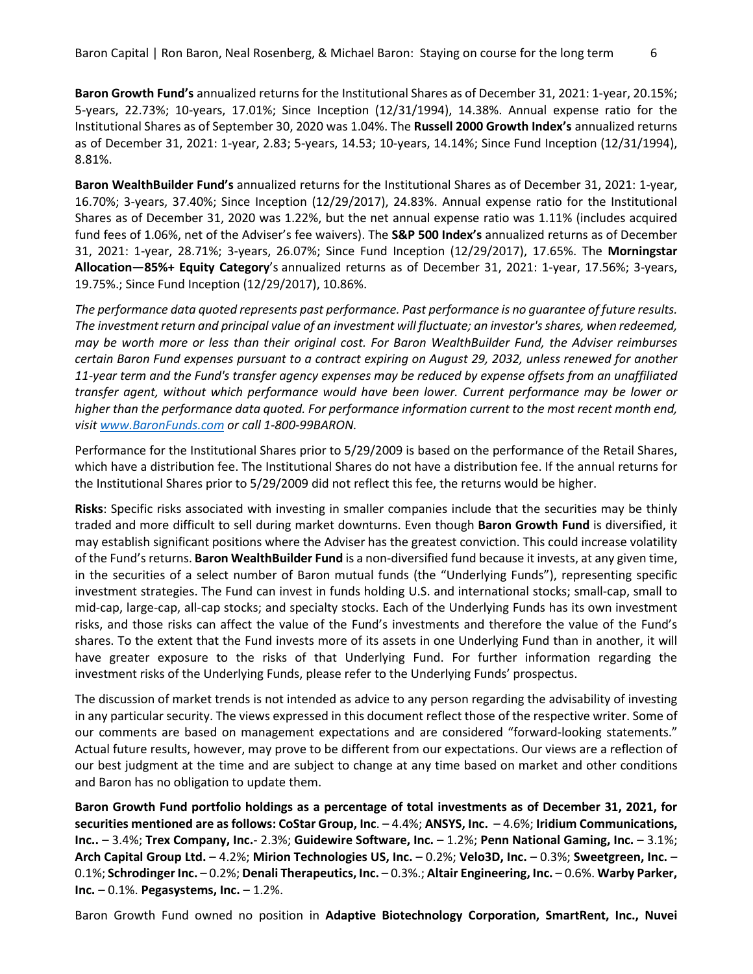**Baron Growth Fund's** annualized returns for the Institutional Shares as of December 31, 2021: 1-year, 20.15%; 5-years, 22.73%; 10-years, 17.01%; Since Inception (12/31/1994), 14.38%. Annual expense ratio for the Institutional Shares as of September 30, 2020 was 1.04%. The **Russell 2000 Growth Index's** annualized returns as of December 31, 2021: 1-year, 2.83; 5-years, 14.53; 10-years, 14.14%; Since Fund Inception (12/31/1994), 8.81%.

**Baron WealthBuilder Fund's** annualized returns for the Institutional Shares as of December 31, 2021: 1-year, 16.70%; 3-years, 37.40%; Since Inception (12/29/2017), 24.83%. Annual expense ratio for the Institutional Shares as of December 31, 2020 was 1.22%, but the net annual expense ratio was 1.11% (includes acquired fund fees of 1.06%, net of the Adviser's fee waivers). The **S&P 500 Index's** annualized returns as of December 31, 2021: 1-year, 28.71%; 3-years, 26.07%; Since Fund Inception (12/29/2017), 17.65%. The **Morningstar Allocation—85%+ Equity Category**'s annualized returns as of December 31, 2021: 1-year, 17.56%; 3-years, 19.75%.; Since Fund Inception (12/29/2017), 10.86%.

*The performance data quoted represents past performance. Past performance is no guarantee of future results. The investment return and principal value of an investment will fluctuate; an investor's shares, when redeemed, may be worth more or less than their original cost. For Baron WealthBuilder Fund, the Adviser reimburses certain Baron Fund expenses pursuant to a contract expiring on August 29, 2032, unless renewed for another 11-year term and the Fund's transfer agency expenses may be reduced by expense offsets from an unaffiliated transfer agent, without which performance would have been lower. Current performance may be lower or higher than the performance data quoted. For performance information current to the most recent month end, visit [www.BaronFunds.com](http://www.baronfunds.com/) or call 1-800-99BARON.*

Performance for the Institutional Shares prior to 5/29/2009 is based on the performance of the Retail Shares, which have a distribution fee. The Institutional Shares do not have a distribution fee. If the annual returns for the Institutional Shares prior to 5/29/2009 did not reflect this fee, the returns would be higher.

**Risks**: Specific risks associated with investing in smaller companies include that the securities may be thinly traded and more difficult to sell during market downturns. Even though **Baron Growth Fund** is diversified, it may establish significant positions where the Adviser has the greatest conviction. This could increase volatility of the Fund's returns. **Baron WealthBuilder Fund** is a non-diversified fund because it invests, at any given time, in the securities of a select number of Baron mutual funds (the "Underlying Funds"), representing specific investment strategies. The Fund can invest in funds holding U.S. and international stocks; small-cap, small to mid-cap, large-cap, all-cap stocks; and specialty stocks. Each of the Underlying Funds has its own investment risks, and those risks can affect the value of the Fund's investments and therefore the value of the Fund's shares. To the extent that the Fund invests more of its assets in one Underlying Fund than in another, it will have greater exposure to the risks of that Underlying Fund. For further information regarding the investment risks of the Underlying Funds, please refer to the Underlying Funds' prospectus.

The discussion of market trends is not intended as advice to any person regarding the advisability of investing in any particular security. The views expressed in this document reflect those of the respective writer. Some of our comments are based on management expectations and are considered "forward-looking statements." Actual future results, however, may prove to be different from our expectations. Our views are a reflection of our best judgment at the time and are subject to change at any time based on market and other conditions and Baron has no obligation to update them.

**Baron Growth Fund portfolio holdings as a percentage of total investments as of December 31, 2021, for securities mentioned are as follows: CoStar Group, Inc**. – 4.4%; **ANSYS, Inc.** – 4.6%; **Iridium Communications, Inc..** – 3.4%; **Trex Company, Inc.**- 2.3%; **Guidewire Software, Inc.** – 1.2%; **Penn National Gaming, Inc.** – 3.1%; **Arch Capital Group Ltd.** – 4.2%; **Mirion Technologies US, Inc.** – 0.2%; **Velo3D, Inc.** – 0.3%; **Sweetgreen, Inc.** – 0.1%; **SchrodingerInc.** – 0.2%; **Denali Therapeutics, Inc.** – 0.3%.; **Altair Engineering, Inc.** – 0.6%. **Warby Parker, Inc.** – 0.1%. **Pegasystems, Inc.** – 1.2%.

Baron Growth Fund owned no position in **Adaptive Biotechnology Corporation, SmartRent, Inc., Nuvei**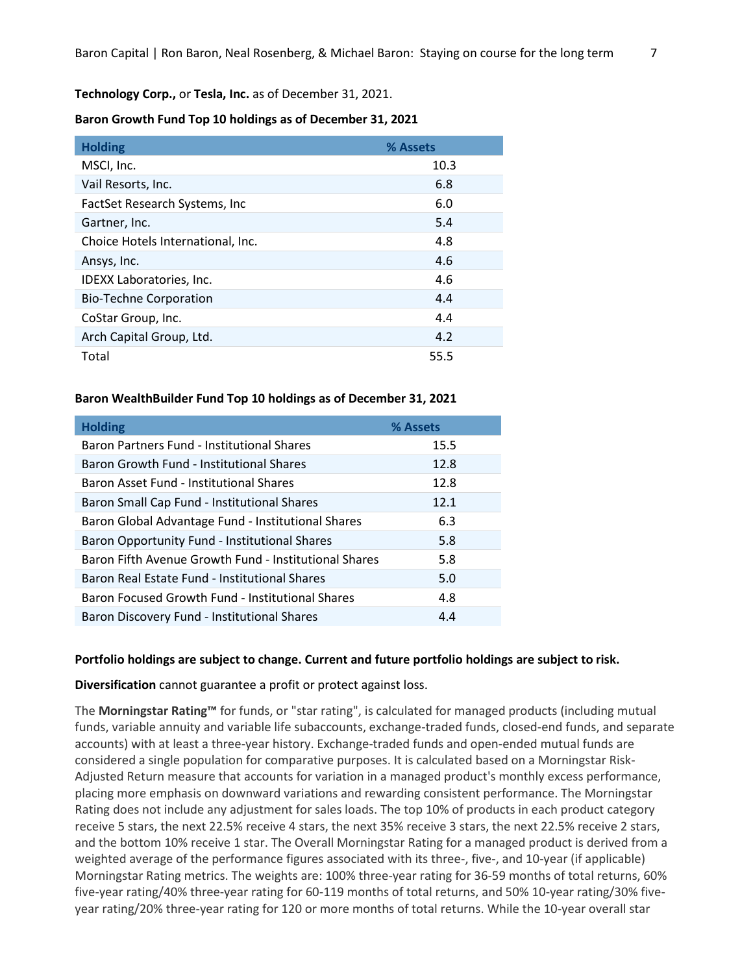**Technology Corp.,** or **Tesla, Inc.** as of December 31, 2021.

### **Baron Growth Fund Top 10 holdings as of December 31, 2021**

| <b>Holding</b>                    | % Assets |
|-----------------------------------|----------|
| MSCI, Inc.                        | 10.3     |
| Vail Resorts, Inc.                | 6.8      |
| FactSet Research Systems, Inc.    | 6.0      |
| Gartner, Inc.                     | 5.4      |
| Choice Hotels International, Inc. | 4.8      |
| Ansys, Inc.                       | 4.6      |
| IDEXX Laboratories, Inc.          | 4.6      |
| <b>Bio-Techne Corporation</b>     | 4.4      |
| CoStar Group, Inc.                | 4.4      |
| Arch Capital Group, Ltd.          | 4.2      |
| Total                             | 55.5     |

### **Baron WealthBuilder Fund Top 10 holdings as of December 31, 2021**

| <b>Holding</b>                                        | % Assets |
|-------------------------------------------------------|----------|
| Baron Partners Fund - Institutional Shares            | 15.5     |
| Baron Growth Fund - Institutional Shares              | 12.8     |
| Baron Asset Fund - Institutional Shares               | 12.8     |
| Baron Small Cap Fund - Institutional Shares           | 12.1     |
| Baron Global Advantage Fund - Institutional Shares    | 6.3      |
| Baron Opportunity Fund - Institutional Shares         | 5.8      |
| Baron Fifth Avenue Growth Fund - Institutional Shares | 5.8      |
| Baron Real Estate Fund - Institutional Shares         | 5.0      |
| Baron Focused Growth Fund - Institutional Shares      | 4.8      |
| Baron Discovery Fund - Institutional Shares           | 4.4      |

## **Portfolio holdings are subject to change. Current and future portfolio holdings are subject to risk.**

**Diversification** cannot guarantee a profit or protect against loss.

The **Morningstar Rating™** for funds, or "star rating", is calculated for managed products (including mutual funds, variable annuity and variable life subaccounts, exchange-traded funds, closed-end funds, and separate accounts) with at least a three-year history. Exchange-traded funds and open-ended mutual funds are considered a single population for comparative purposes. It is calculated based on a Morningstar Risk-Adjusted Return measure that accounts for variation in a managed product's monthly excess performance, placing more emphasis on downward variations and rewarding consistent performance. The Morningstar Rating does not include any adjustment for sales loads. The top 10% of products in each product category receive 5 stars, the next 22.5% receive 4 stars, the next 35% receive 3 stars, the next 22.5% receive 2 stars, and the bottom 10% receive 1 star. The Overall Morningstar Rating for a managed product is derived from a weighted average of the performance figures associated with its three-, five-, and 10-year (if applicable) Morningstar Rating metrics. The weights are: 100% three-year rating for 36-59 months of total returns, 60% five-year rating/40% three-year rating for 60-119 months of total returns, and 50% 10-year rating/30% fiveyear rating/20% three-year rating for 120 or more months of total returns. While the 10-year overall star